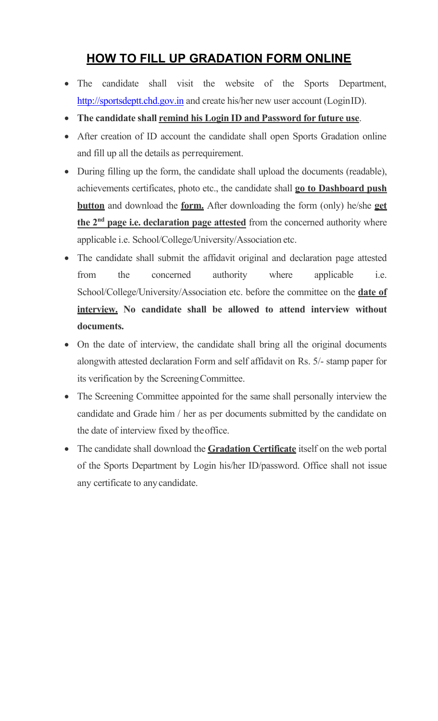## **HOW TO FILL UP GRADATION FORM ONLINE**

- The candidate shall visit the website of the Sports Department[,](http://sportsdeptt.chd.gov.in/) [http://sportsdeptt.chd.gov.in](http://sportsdeptt.chd.gov.in/) and create his/her new user account (LoginID).
- **The candidate shall remind his Login ID and Password for future use**.
- After creation of ID account the candidate shall open Sports Gradation online and fill up all the details as perrequirement.
- During filling up the form, the candidate shall upload the documents (readable), achievements certificates, photo etc., the candidate shall **go to Dashboard push button** and download the **form.** After downloading the form (only) he/she **get the 2nd page i.e. declaration page attested** from the concerned authority where applicable i.e. School/College/University/Association etc.
- The candidate shall submit the affidavit original and declaration page attested from the concerned authority where applicable i.e. School/College/University/Association etc. before the committee on the **date of interview. No candidate shall be allowed to attend interview without documents.**
- On the date of interview, the candidate shall bring all the original documents alongwith attested declaration Form and self affidavit on Rs. 5/- stamp paper for its verification by the ScreeningCommittee.
- The Screening Committee appointed for the same shall personally interview the candidate and Grade him / her as per documents submitted by the candidate on the date of interview fixed by theoffice.
- The candidate shall download the **Gradation Certificate** itself on the web portal of the Sports Department by Login his/her ID/password. Office shall not issue any certificate to anycandidate.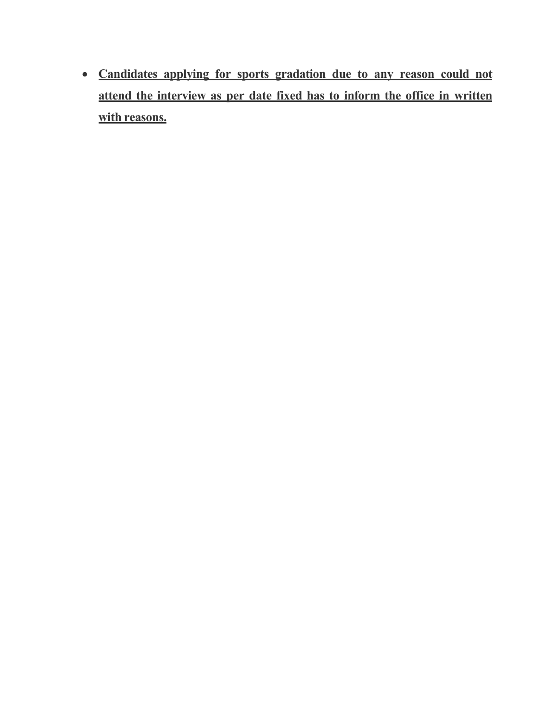• **Candidates applying for sports gradation due to any reason could not attend the interview as per date fixed has to inform the office in written with reasons.**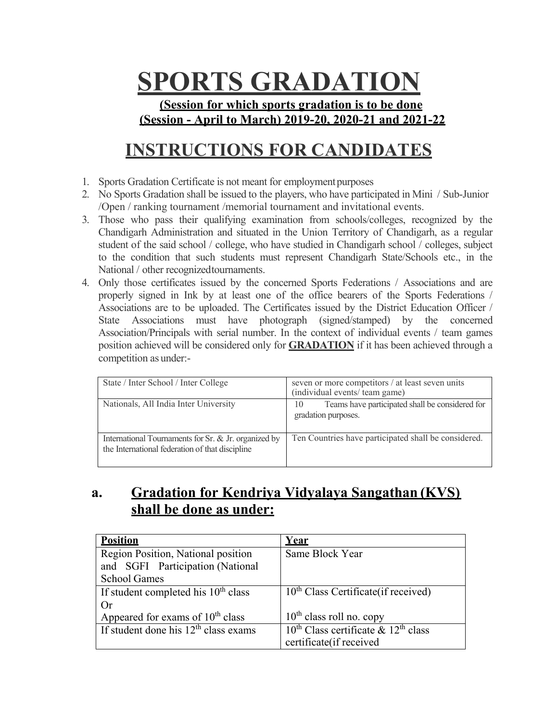# **SPORTS GRADATION**

**(Session for which sports gradation is to be done (Session - April to March) 2019-20, 2020-21 and 2021-22** 

# **INSTRUCTIONS FOR CANDIDATES**

- 1. Sports Gradation Certificate is not meant for employmentpurposes
- 2. No Sports Gradation shall be issued to the players, who have participated in Mini / Sub-Junior /Open / ranking tournament /memorial tournament and invitational events.
- 3. Those who pass their qualifying examination from schools/colleges, recognized by the Chandigarh Administration and situated in the Union Territory of Chandigarh, as a regular student of the said school / college, who have studied in Chandigarh school / colleges, subject to the condition that such students must represent Chandigarh State/Schools etc., in the National / other recognizedtournaments.
- 4. Only those certificates issued by the concerned Sports Federations / Associations and are properly signed in Ink by at least one of the office bearers of the Sports Federations / Associations are to be uploaded. The Certificates issued by the District Education Officer / State Associations must have photograph (signed/stamped) by the concerned Association/Principals with serial number. In the context of individual events / team games position achieved will be considered only for **GRADATION** if it has been achieved through a competition as under:-

| State / Inter School / Inter College                                                                    | seven or more competitors / at least seven units<br>(individual events/ team game) |  |  |  |
|---------------------------------------------------------------------------------------------------------|------------------------------------------------------------------------------------|--|--|--|
| Nationals, All India Inter University                                                                   | Teams have participated shall be considered for<br>10<br>gradation purposes.       |  |  |  |
| International Tournaments for Sr. & Jr. organized by<br>the International federation of that discipline | Ten Countries have participated shall be considered.                               |  |  |  |

## **a. Gradation for Kendriya Vidyalaya Sangathan (KVS) shall be done as under:**

| <b>Position</b>                              | Year                                          |  |  |
|----------------------------------------------|-----------------------------------------------|--|--|
| Region Position, National position           | Same Block Year                               |  |  |
| and SGFI Participation (National             |                                               |  |  |
| <b>School Games</b>                          |                                               |  |  |
| If student completed his $10th$ class        | $10th$ Class Certificate (if received)        |  |  |
| Or                                           |                                               |  |  |
| Appeared for exams of 10 <sup>th</sup> class | $10th$ class roll no. copy                    |  |  |
| If student done his $12th$ class exams       | $10^{th}$ Class certificate & $12^{th}$ class |  |  |
|                                              | certificate(if received                       |  |  |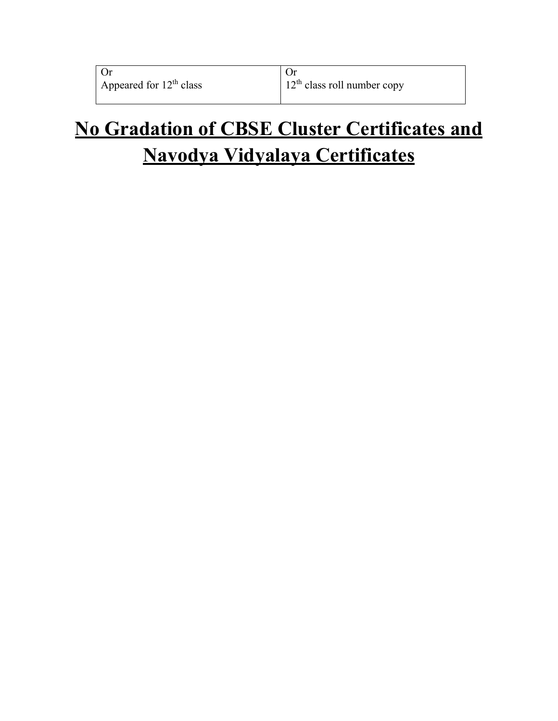| Or                                  |  |
|-------------------------------------|--|
| Appeared for 12 <sup>th</sup> class |  |

# **No Gradation of CBSE Cluster Certificates and Navodya Vidyalaya Certificates**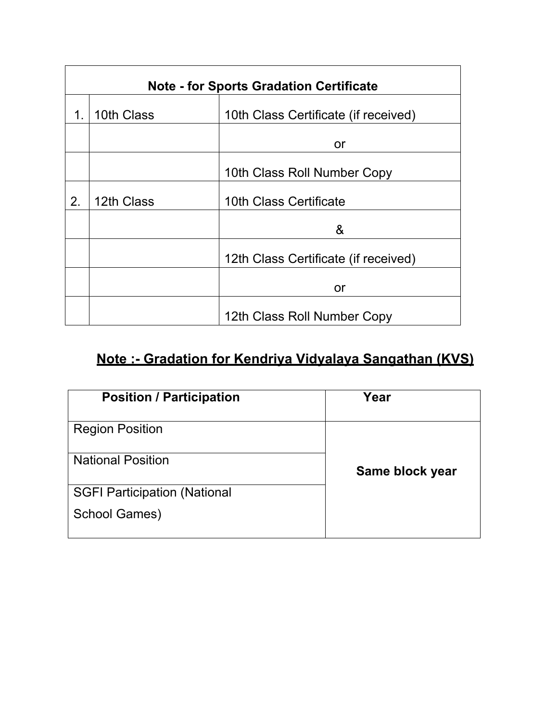| <b>Note - for Sports Gradation Certificate</b> |            |                                      |  |  |  |  |
|------------------------------------------------|------------|--------------------------------------|--|--|--|--|
| 1.                                             | 10th Class | 10th Class Certificate (if received) |  |  |  |  |
|                                                |            | or                                   |  |  |  |  |
|                                                |            | 10th Class Roll Number Copy          |  |  |  |  |
| 2.                                             | 12th Class | 10th Class Certificate               |  |  |  |  |
|                                                |            | &                                    |  |  |  |  |
|                                                |            | 12th Class Certificate (if received) |  |  |  |  |
|                                                |            | or                                   |  |  |  |  |
|                                                |            | 12th Class Roll Number Copy          |  |  |  |  |

## **Note :- Gradation for Kendriya Vidyalaya Sangathan (KVS)**

| <b>Position / Participation</b>     | Year            |
|-------------------------------------|-----------------|
| <b>Region Position</b>              |                 |
| <b>National Position</b>            | Same block year |
| <b>SGFI Participation (National</b> |                 |
| <b>School Games)</b>                |                 |